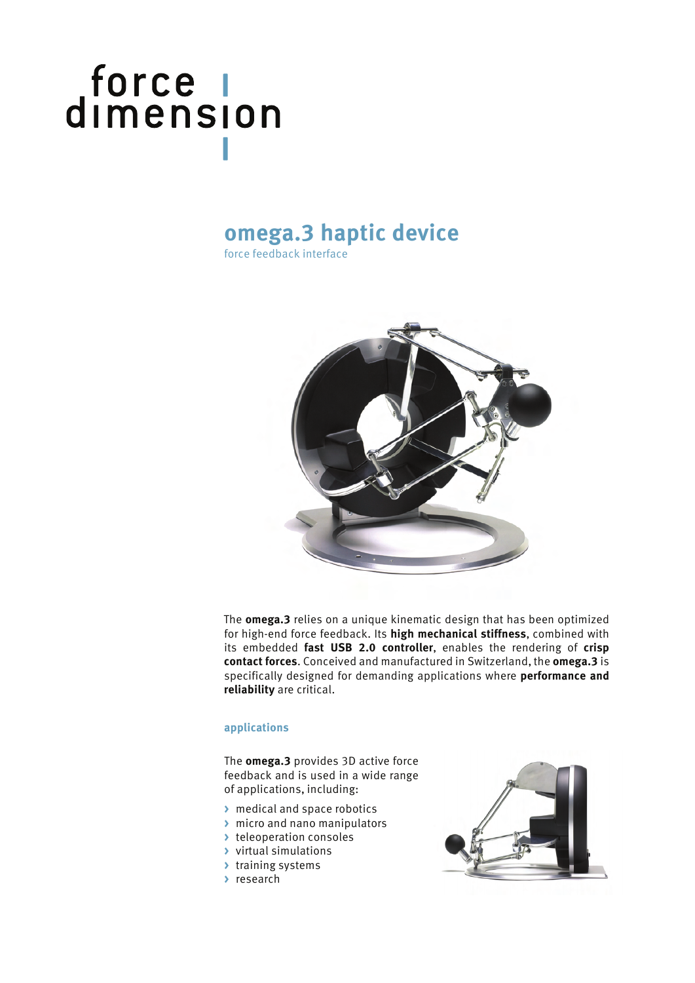# force |<br>dimension

### **omega.3 haptic device**

force feedback interface



The **omega.3** relies on a unique kinematic design that has been optimized for high-end force feedback. Its **high mechanical stiffness**, combined with its embedded **fast USB 2.0 controller**, enables the rendering of **crisp contact forces**. Conceived and manufactured in Switzerland, the **omega.3** is specifically designed for demanding applications where **performance and reliability** are critical.

#### **applications**

The **omega.3** provides 3D active force feedback and is used in a wide range of applications, including:

- **>** medical and space robotics
- **>** micro and nano manipulators
- **>** teleoperation consoles
- **>** virtual simulations
- **>** training systems
- **>** research